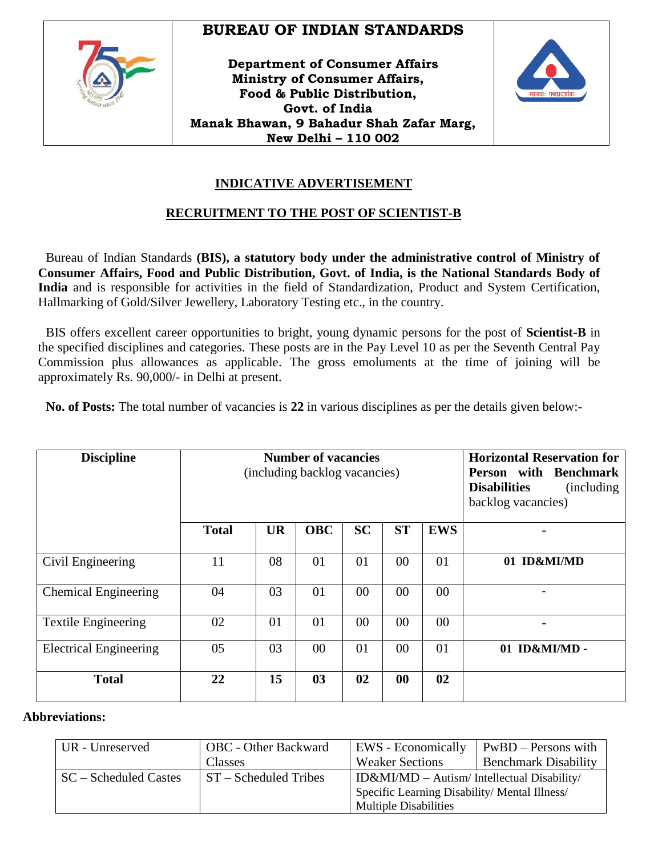

# **BUREAU OF INDIAN STANDARDS**

**Department of Consumer Affairs Ministry of Consumer Affairs, Food & Public Distribution, Govt. of India Manak Bhawan, 9 Bahadur Shah Zafar Marg, New Delhi – 110 002**



# **INDICATIVE ADVERTISEMENT**

### **RECRUITMENT TO THE POST OF SCIENTIST-B**

Bureau of Indian Standards **(BIS), a statutory body under the administrative control of Ministry of Consumer Affairs, Food and Public Distribution, Govt. of India, is the National Standards Body of India** and is responsible for activities in the field of Standardization, Product and System Certification, Hallmarking of Gold/Silver Jewellery, Laboratory Testing etc., in the country.

BIS offers excellent career opportunities to bright, young dynamic persons for the post of **Scientist-B** in the specified disciplines and categories. These posts are in the Pay Level 10 as per the Seventh Central Pay Commission plus allowances as applicable. The gross emoluments at the time of joining will be approximately Rs. 90,000/- in Delhi at present.

**No. of Posts:** The total number of vacancies is **22** in various disciplines as per the details given below:-

| <b>Discipline</b>             |              | <b>Number of vacancies</b><br>(including backlog vacancies) | <b>Horizontal Reservation for</b><br>Person with Benchmark<br><b>Disabilities</b><br>(including)<br>backlog vacancies) |           |           |            |                |
|-------------------------------|--------------|-------------------------------------------------------------|------------------------------------------------------------------------------------------------------------------------|-----------|-----------|------------|----------------|
|                               | <b>Total</b> | <b>UR</b>                                                   | <b>OBC</b>                                                                                                             | <b>SC</b> | <b>ST</b> | <b>EWS</b> | $\blacksquare$ |
| Civil Engineering             | 11           | 08                                                          | 01                                                                                                                     | 01        | 00        | 01         | 01 ID&MI/MD    |
| <b>Chemical Engineering</b>   | 04           | 03                                                          | 01                                                                                                                     | 00        | $00\,$    | 00         | ۰              |
| <b>Textile Engineering</b>    | 02           | 01                                                          | 01                                                                                                                     | 00        | 00        | $00\,$     | $\blacksquare$ |
| <b>Electrical Engineering</b> | 05           | 03                                                          | 00                                                                                                                     | 01        | 00        | 01         | 01 ID&MI/MD -  |
| <b>Total</b>                  | 22           | 15                                                          | 03                                                                                                                     | 02        | 00        | 02         |                |

#### **Abbreviations:**

| UR - Unreserved          | <b>OBC</b> - Other Backward  | EWS - Economically                            | PwBD – Persons with         |  |
|--------------------------|------------------------------|-----------------------------------------------|-----------------------------|--|
|                          | Classes                      | <b>Weaker Sections</b>                        | <b>Benchmark Disability</b> |  |
| $SC - S$ cheduled Castes | <b>ST</b> – Scheduled Tribes | $ID&MI/MD - Autism/Intellectual Disability/$  |                             |  |
|                          |                              | Specific Learning Disability/ Mental Illness/ |                             |  |
|                          |                              | <b>Multiple Disabilities</b>                  |                             |  |